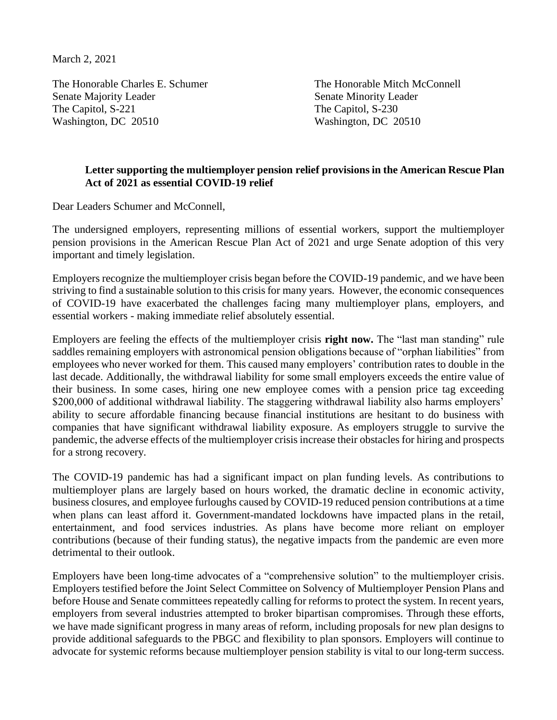March 2, 2021

The Honorable Charles E. Schumer The Honorable Mitch McConnell Senate Majority Leader Senate Minority Leader The Capitol, S-221 The Capitol, S-230 Washington, DC 20510 Washington, DC 20510

## **Letter supporting the multiemployer pension relief provisions in the American Rescue Plan Act of 2021 as essential COVID-19 relief**

Dear Leaders Schumer and McConnell,

The undersigned employers, representing millions of essential workers, support the multiemployer pension provisions in the American Rescue Plan Act of 2021 and urge Senate adoption of this very important and timely legislation.

Employers recognize the multiemployer crisis began before the COVID-19 pandemic, and we have been striving to find a sustainable solution to this crisis for many years. However, the economic consequences of COVID-19 have exacerbated the challenges facing many multiemployer plans, employers, and essential workers - making immediate relief absolutely essential.

Employers are feeling the effects of the multiemployer crisis **right now.** The "last man standing" rule saddles remaining employers with astronomical pension obligations because of "orphan liabilities" from employees who never worked for them. This caused many employers' contribution rates to double in the last decade. Additionally, the withdrawal liability for some small employers exceeds the entire value of their business. In some cases, hiring one new employee comes with a pension price tag exceeding \$200,000 of additional withdrawal liability. The staggering withdrawal liability also harms employers' ability to secure affordable financing because financial institutions are hesitant to do business with companies that have significant withdrawal liability exposure. As employers struggle to survive the pandemic, the adverse effects of the multiemployer crisis increase their obstacles for hiring and prospects for a strong recovery.

The COVID-19 pandemic has had a significant impact on plan funding levels. As contributions to multiemployer plans are largely based on hours worked, the dramatic decline in economic activity, business closures, and employee furloughs caused by COVID-19 reduced pension contributions at a time when plans can least afford it. Government-mandated lockdowns have impacted plans in the retail, entertainment, and food services industries. As plans have become more reliant on employer contributions (because of their funding status), the negative impacts from the pandemic are even more detrimental to their outlook.

Employers have been long-time advocates of a "comprehensive solution" to the multiemployer crisis. Employers testified before the Joint Select Committee on Solvency of Multiemployer Pension Plans and before House and Senate committees repeatedly calling for reforms to protect the system. In recent years, employers from several industries attempted to broker bipartisan compromises. Through these efforts, we have made significant progress in many areas of reform, including proposals for new plan designs to provide additional safeguards to the PBGC and flexibility to plan sponsors. Employers will continue to advocate for systemic reforms because multiemployer pension stability is vital to our long-term success.